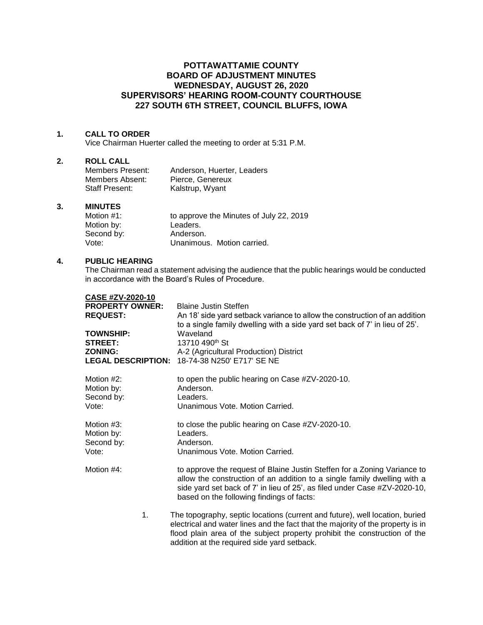# **POTTAWATTAMIE COUNTY BOARD OF ADJUSTMENT MINUTES WEDNESDAY, AUGUST 26, 2020 SUPERVISORS' HEARING ROOM-COUNTY COURTHOUSE 227 SOUTH 6TH STREET, COUNCIL BLUFFS, IOWA**

### **1. CALL TO ORDER**

Vice Chairman Huerter called the meeting to order at 5:31 P.M.

## **2. ROLL CALL**

| Members Present:      | Anderson, Huerter, Leaders |
|-----------------------|----------------------------|
| Members Absent:       | Pierce, Genereux           |
| <b>Staff Present:</b> | Kalstrup, Wyant            |

#### **3. MINUTES**

| Motion $#1$ : | to approve the Minutes of July 22, 2019 |
|---------------|-----------------------------------------|
| Motion by:    | Leaders.                                |
| Second by:    | Anderson.                               |
| Vote:         | Unanimous. Motion carried.              |

## **4. PUBLIC HEARING**

**CASE #ZV-2020-10**

The Chairman read a statement advising the audience that the public hearings would be conducted in accordance with the Board's Rules of Procedure.

| <b>CASE #ZV-2020-10</b>   |                                                                                                                                                                                                                                                                                             |
|---------------------------|---------------------------------------------------------------------------------------------------------------------------------------------------------------------------------------------------------------------------------------------------------------------------------------------|
| <b>PROPERTY OWNER:</b>    | <b>Blaine Justin Steffen</b>                                                                                                                                                                                                                                                                |
| <b>REQUEST:</b>           | An 18' side yard setback variance to allow the construction of an addition                                                                                                                                                                                                                  |
|                           | to a single family dwelling with a side yard set back of 7' in lieu of 25'.                                                                                                                                                                                                                 |
| <b>TOWNSHIP:</b>          | Waveland                                                                                                                                                                                                                                                                                    |
| <b>STREET:</b>            | 13710 490 <sup>th</sup> St                                                                                                                                                                                                                                                                  |
| <b>ZONING:</b>            | A-2 (Agricultural Production) District                                                                                                                                                                                                                                                      |
| <b>LEGAL DESCRIPTION:</b> | 18-74-38 N250' E717' SE NE                                                                                                                                                                                                                                                                  |
| Motion #2:<br>Motion by:  | to open the public hearing on Case #ZV-2020-10.<br>Anderson.                                                                                                                                                                                                                                |
| Second by:                | Leaders.                                                                                                                                                                                                                                                                                    |
| Vote:                     | Unanimous Vote. Motion Carried.                                                                                                                                                                                                                                                             |
| Motion #3:                | to close the public hearing on Case #ZV-2020-10.                                                                                                                                                                                                                                            |
| Motion by:                | Leaders.                                                                                                                                                                                                                                                                                    |
| Second by:                | Anderson.                                                                                                                                                                                                                                                                                   |
| Vote:                     | Unanimous Vote. Motion Carried.                                                                                                                                                                                                                                                             |
| Motion #4:                | to approve the request of Blaine Justin Steffen for a Zoning Variance to                                                                                                                                                                                                                    |
|                           | allow the construction of an addition to a single family dwelling with a<br>side yard set back of 7' in lieu of 25', as filed under Case #ZV-2020-10,<br>based on the following findings of facts:                                                                                          |
| 1.                        | The topography, septic locations (current and future), well location, buried<br>electrical and water lines and the fact that the majority of the property is in<br>flood plain area of the subject property prohibit the construction of the<br>addition at the required side yard setback. |